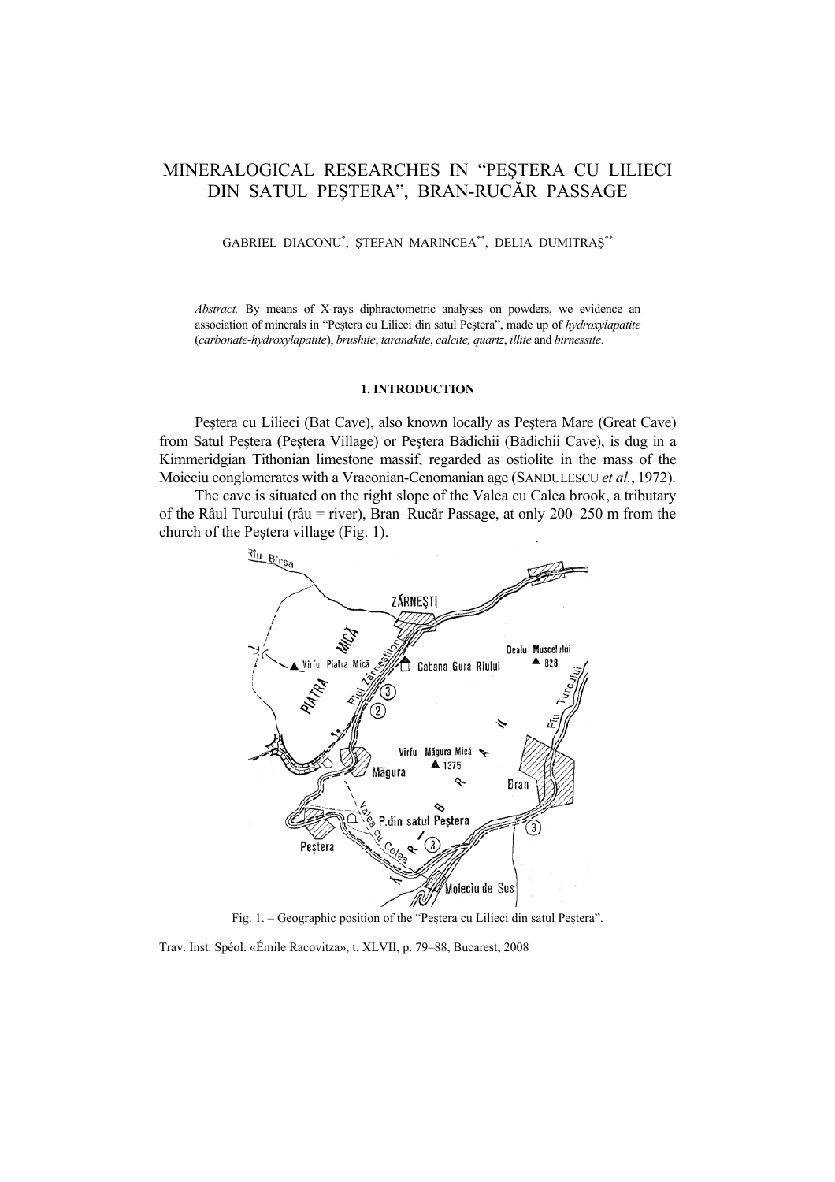# MINERALOGICAL RESEARCHES IN "PEŞTERA CU LILIECI DIN SATUL PEŞTERA", BRAN-RUCĂR PASSAGE

## GABRIEL DIACONU\* , ŞTEFAN MARINCEA\*\*, DELIA DUMITRAŞ\*\*

*Abstract.* By means of X-rays diphractometric analyses on powders, we evidence an association of minerals in "Peştera cu Lilieci din satul Peştera", made up of *hydroxylapatite* (*carbonate-hydroxylapatite*), *brushite*, *taranakite*, *calcite, quartz*, *illite* and *birnessite*.

#### **1. INTRODUCTION**

Peştera cu Lilieci (Bat Cave), also known locally as Peştera Mare (Great Cave) from Satul Peştera (Peştera Village) or Peştera Bădichii (Bădichii Cave), is dug in a Kimmeridgian Tithonian limestone massif, regarded as ostiolite in the mass of the Moieciu conglomerates with a Vraconian-Cenomanian age (SANDULESCU *et al.*, 1972).

The cave is situated on the right slope of the Valea cu Calea brook, a tributary of the Râul Turcului (râu = river), Bran–Rucăr Passage, at only 200–250 m from the church of the Peştera village (Fig. 1).



Fig. 1. – Geographic position of the "Peştera cu Lilieci din satul Peştera".

Trav. Inst. Spéol. «Émile Racovitza», t. XLVII, p. 79–88, Bucarest, 2008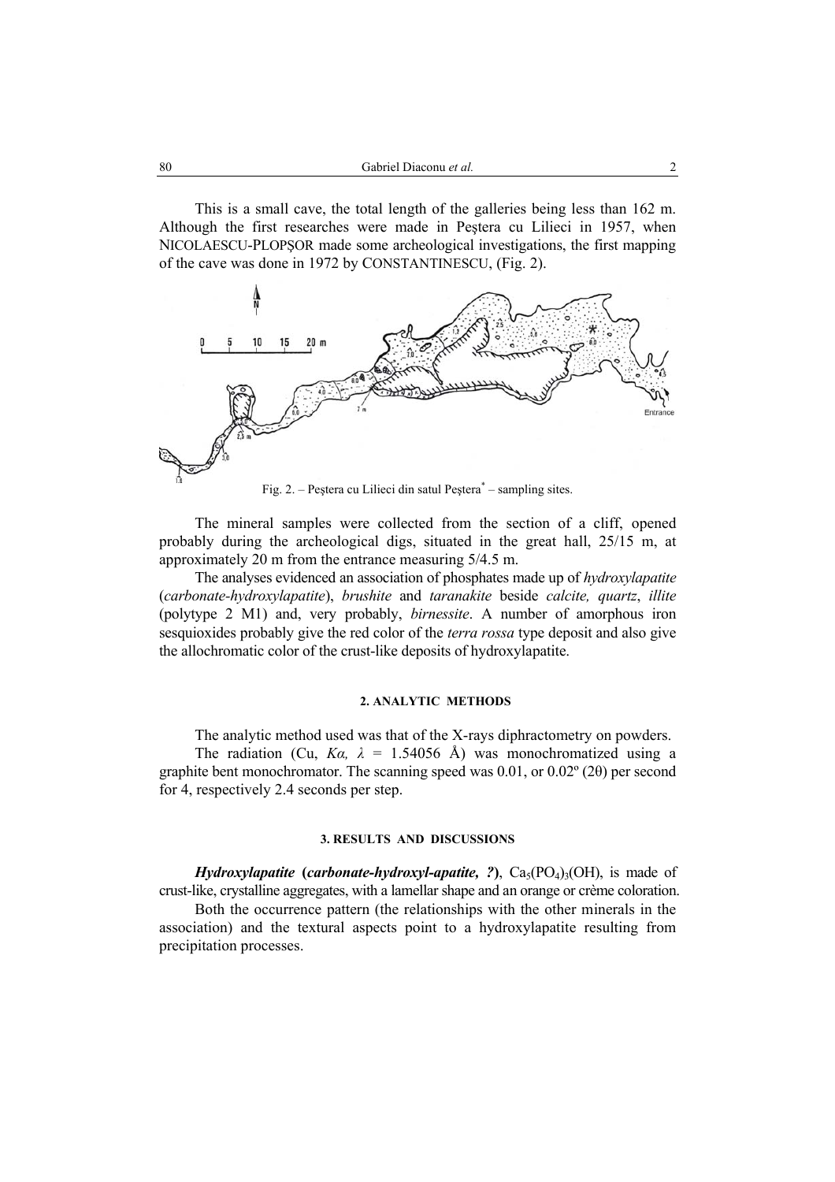This is a small cave, the total length of the galleries being less than 162 m. Although the first researches were made in Peştera cu Lilieci in 1957, when NICOLAESCU-PLOPŞOR made some archeological investigations, the first mapping of the cave was done in 1972 by CONSTANTINESCU, (Fig. 2).



Fig. 2. – Peștera cu Lilieci din satul Peștera<sup>\*</sup> – sampling sites.

The mineral samples were collected from the section of a cliff, opened probably during the archeological digs, situated in the great hall, 25/15 m, at approximately 20 m from the entrance measuring 5/4.5 m.

The analyses evidenced an association of phosphates made up of *hydroxylapatite* (*carbonate-hydroxylapatite*), *brushite* and *taranakite* beside *calcite, quartz*, *illite*  (polytype 2 M1) and, very probably, *birnessite*. A number of amorphous iron sesquioxides probably give the red color of the *terra rossa* type deposit and also give the allochromatic color of the crust-like deposits of hydroxylapatite.

# **2. ANALYTIC METHODS**

The analytic method used was that of the X-rays diphractometry on powders. The radiation (Cu,  $Ka$ ,  $\lambda = 1.54056$  Å) was monochromatized using a graphite bent monochromator. The scanning speed was 0.01, or 0.02º (2θ) per second for 4, respectively 2.4 seconds per step.

### **3. RESULTS AND DISCUSSIONS**

*Hydroxylapatite* (*carbonate-hydroxyl-apatite, ?*),  $Ca<sub>5</sub>(PO<sub>4</sub>)<sub>3</sub>(OH)$ , is made of

crust-like, crystalline aggregates, with a lamellar shape and an orange or crème coloration. Both the occurrence pattern (the relationships with the other minerals in the association) and the textural aspects point to a hydroxylapatite resulting from precipitation processes.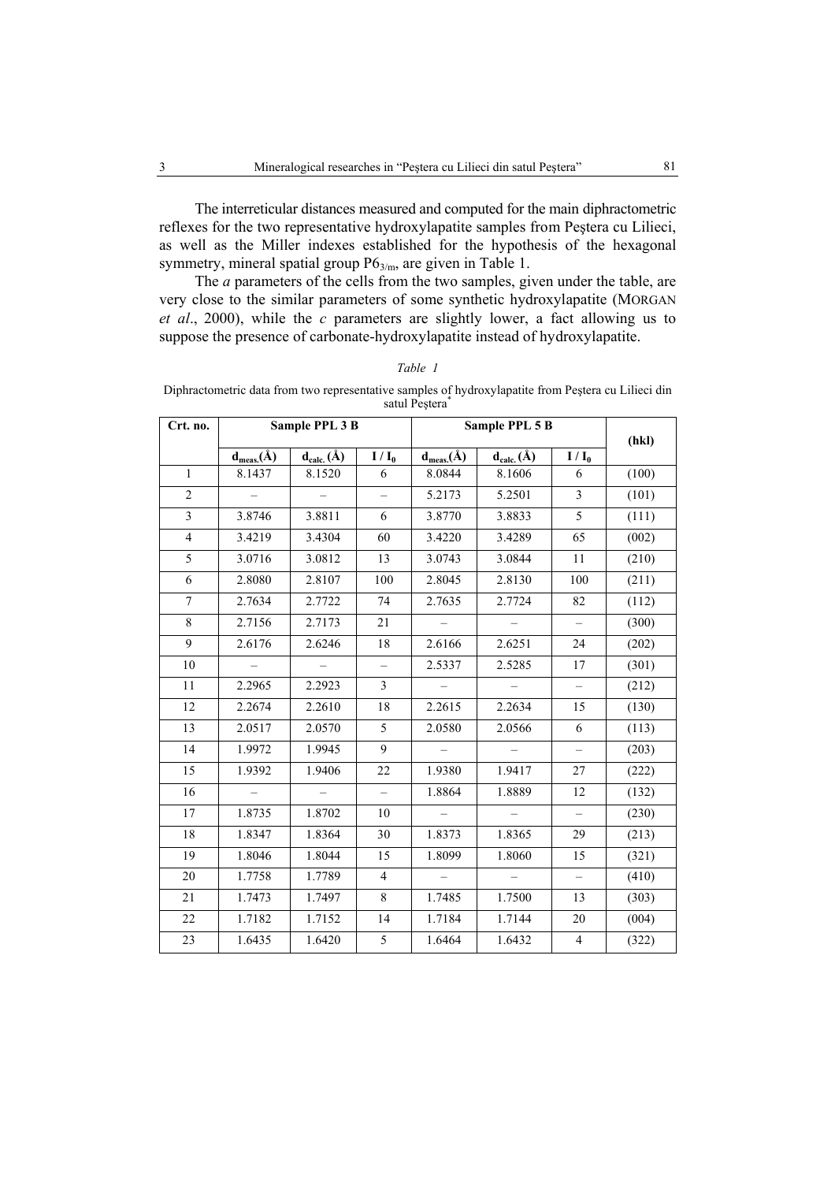The interreticular distances measured and computed for the main diphractometric reflexes for the two representative hydroxylapatite samples from Peştera cu Lilieci, as well as the Miller indexes established for the hypothesis of the hexagonal symmetry, mineral spatial group P6<sub>3/m</sub>, are given in Table 1.

The *a* parameters of the cells from the two samples, given under the table, are very close to the similar parameters of some synthetic hydroxylapatite (MORGAN *et al*., 2000), while the *c* parameters are slightly lower, a fact allowing us to suppose the presence of carbonate-hydroxylapatite instead of hydroxylapatite.

| Crt. no.       |                                 | Sample PPL 3 B                                |                          | Sample PPL 5 B                  |                          |                          |       |
|----------------|---------------------------------|-----------------------------------------------|--------------------------|---------------------------------|--------------------------|--------------------------|-------|
|                | $\mathbf{d}_{meas}(\mathbf{A})$ | $\mathbf{d}_{\text{calc.}}(\hat{\mathbf{A}})$ | $I/I_0$                  | $\mathbf{d}_{meas}(\mathbf{A})$ | $d_{calc.}(\AA)$         | $I/I_0$                  | (hkl) |
| $\mathbf{1}$   | 8.1437                          | 8.1520                                        | 6                        | 8.0844                          | 8.1606                   | 6                        | (100) |
| $\overline{2}$ |                                 |                                               | $\overline{a}$           | 5.2173                          | 5.2501                   | $\overline{3}$           | (101) |
| 3              | 3.8746                          | 3.8811                                        | 6                        | 3.8770                          | 3.8833                   | 5                        | (111) |
| $\overline{4}$ | 3.4219                          | 3.4304                                        | 60                       | 3.4220                          | 3.4289                   | 65                       | (002) |
| 5              | 3.0716                          | 3.0812                                        | 13                       | 3.0743                          | 3.0844                   | 11                       | (210) |
| 6              | 2.8080                          | 2.8107                                        | 100                      | 2.8045                          | 2.8130                   | 100                      | (211) |
| $\overline{7}$ | 2.7634                          | 2.7722                                        | 74                       | 2.7635                          | 2.7724                   | 82                       | (112) |
| 8              | 2.7156                          | 2.7173                                        | 21                       | $\overline{\phantom{a}}$        | $\overline{\phantom{0}}$ | $\qquad \qquad -$        | (300) |
| 9              | 2.6176                          | 2.6246                                        | 18                       | 2.6166                          | 2.6251                   | 24                       | (202) |
| 10             |                                 |                                               | $\qquad \qquad -$        | 2.5337                          | 2.5285                   | 17                       | (301) |
| 11             | 2.2965                          | 2.2923                                        | $\overline{3}$           | $\overline{\phantom{0}}$        | $\overline{\phantom{0}}$ | $\overline{\phantom{0}}$ | (212) |
| 12             | 2.2674                          | 2.2610                                        | 18                       | 2.2615                          | 2.2634                   | 15                       | (130) |
| 13             | 2.0517                          | 2.0570                                        | 5                        | 2.0580                          | 2.0566                   | 6                        | (113) |
| 14             | 1.9972                          | 1.9945                                        | 9                        | $\overline{\phantom{0}}$        | $\overline{\phantom{0}}$ | $\overline{\phantom{0}}$ | (203) |
| 15             | 1.9392                          | 1.9406                                        | 22                       | 1.9380                          | 1.9417                   | 27                       | (222) |
| 16             | $\equiv$                        | $\equiv$                                      | $\overline{\phantom{m}}$ | 1.8864                          | 1.8889                   | 12                       | (132) |
| 17             | 1.8735                          | 1.8702                                        | 10                       | $\equiv$                        | $-$                      | $\overline{\phantom{0}}$ | (230) |
| 18             | 1.8347                          | 1.8364                                        | 30                       | 1.8373                          | 1.8365                   | 29                       | (213) |
| 19             | 1.8046                          | 1.8044                                        | 15                       | 1.8099                          | 1.8060                   | 15                       | (321) |
| 20             | 1.7758                          | 1.7789                                        | $\overline{4}$           |                                 |                          |                          | (410) |
| 21             | 1.7473                          | 1.7497                                        | 8                        | 1.7485                          | 1.7500                   | 13                       | (303) |
| 22             | 1.7182                          | 1.7152                                        | 14                       | 1.7184                          | 1.7144                   | 20                       | (004) |
| 23             | 1.6435                          | 1.6420                                        | 5                        | 1.6464                          | 1.6432                   | 4                        | (322) |

| ۰<br>v |  |
|--------|--|
|--------|--|

Diphractometric data from two representative samples of hydroxylapatite from Peştera cu Lilieci din satul Peştera\*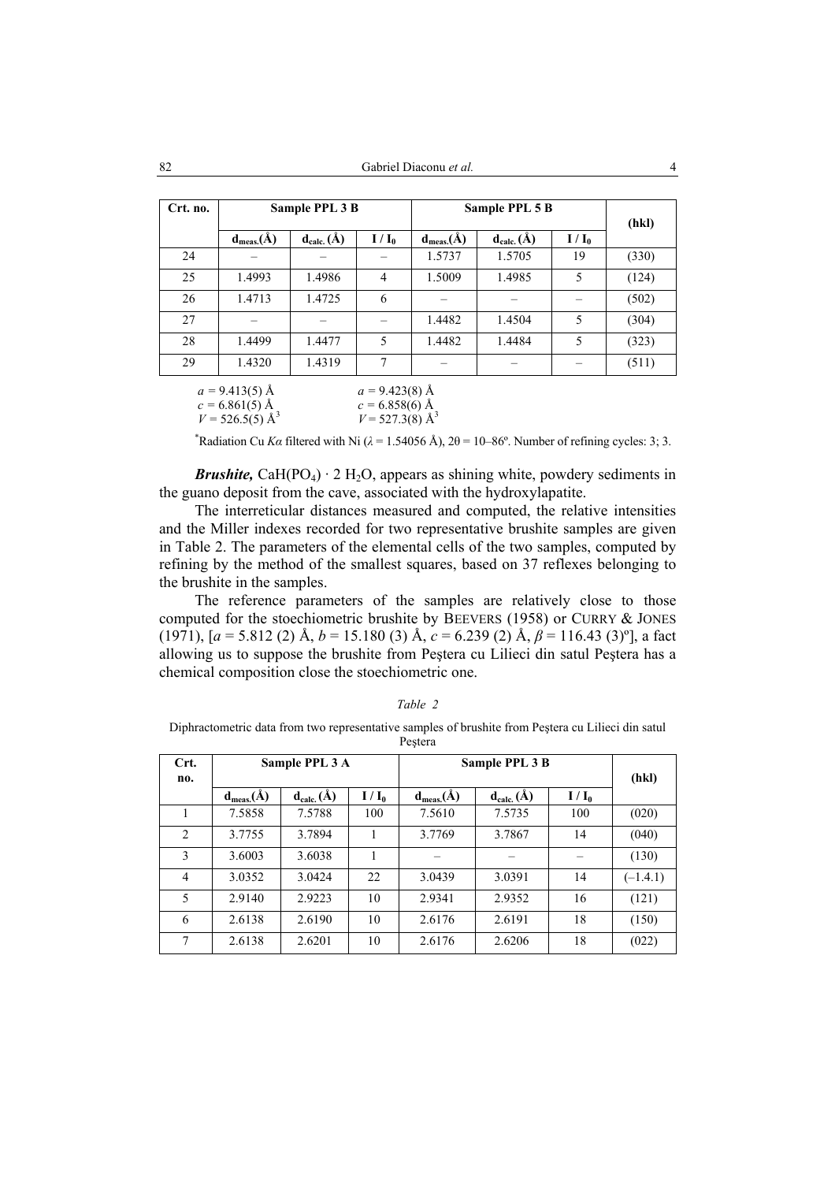| Crt. no. | Sample PPL 3 B   |                  |                  | Sample PPL 5 B   | (hkl)            |         |       |
|----------|------------------|------------------|------------------|------------------|------------------|---------|-------|
|          | $d_{meas.}(\AA)$ | $d_{calc.}(\AA)$ | $I/I_0$          | $d_{meas.}(\AA)$ | $d_{calc.}(\AA)$ | $I/I_0$ |       |
| 24       |                  |                  |                  | 1.5737           | 1.5705           | 19      | (330) |
| 25       | 1.4993           | 1.4986           | $\overline{4}$   | 1.5009           | 1.4985           | 5       | (124) |
| 26       | 1.4713           | 1.4725           | 6                |                  |                  |         | (502) |
| 27       |                  |                  |                  | 1.4482           | 1.4504           | 5       | (304) |
| 28       | 1.4499           | 1.4477           | 5                | 1.4482           | 1.4484           | 5       | (323) |
| 29       | 1.4320           | 1.4319           | 7                |                  |                  |         | (511) |
|          | $a = 9.413(5)$ Å |                  | $a = 9.423(8)$ Å |                  |                  |         |       |

| $u = 2.413(3)$ A              | $\mu = 3.423(0)$ A            |
|-------------------------------|-------------------------------|
| $c = 6.861(5)$ Å              | $c = 6.858(6)$ Å              |
| $V = 526.5(5)$ Å <sup>3</sup> | $V = 527.3(8)$ Å <sup>3</sup> |

<sup>\*</sup>Radiation Cu *Ka* filtered with Ni ( $\lambda$  = 1.54056 Å), 2θ = 10–86°. Number of refining cycles: 3; 3.

*Brushite,* CaH(PO<sub>4</sub>)  $\cdot$  2 H<sub>2</sub>O, appears as shining white, powdery sediments in the guano deposit from the cave, associated with the hydroxylapatite.

The interreticular distances measured and computed, the relative intensities and the Miller indexes recorded for two representative brushite samples are given in Table 2. The parameters of the elemental cells of the two samples, computed by refining by the method of the smallest squares, based on 37 reflexes belonging to the brushite in the samples.

The reference parameters of the samples are relatively close to those computed for the stoechiometric brushite by BEEVERS (1958) or CURRY & JONES (1971), [*a* = 5.812 (2) Å, *b* = 15.180 (3) Å, *c* = 6.239 (2) Å, *β* = 116.43 (3)º], a fact allowing us to suppose the brushite from Peştera cu Lilieci din satul Peştera has a chemical composition close the stoechiometric one.

| Crt.           |                  | Sample PPL 3 A   |         | Sample PPL 3 B   |                  |         |            |
|----------------|------------------|------------------|---------|------------------|------------------|---------|------------|
| no.            | $d_{meas.}(\AA)$ | $d_{calc.}(\AA)$ | $I/I_0$ | $d_{meas.}(\AA)$ | $d_{calc.}(\AA)$ | $I/I_0$ | (hkl)      |
|                | 7.5858           | 7.5788           | 100     | 7.5610           | 7.5735           | 100     | (020)      |
| 2              | 3.7755           | 3.7894           |         | 3.7769           | 3.7867           | 14      | (040)      |
| 3              | 3.6003           | 3.6038           |         |                  |                  |         | (130)      |
| $\overline{4}$ | 3.0352           | 3.0424           | 22      | 3.0439           | 3.0391           | 14      | $(-1.4.1)$ |
| 5              | 2.9140           | 2.9223           | 10      | 2.9341           | 2.9352           | 16      | (121)      |
| 6              | 2.6138           | 2.6190           | 10      | 2.6176           | 2.6191           | 18      | (150)      |
| 7              | 2.6138           | 2.6201           | 10      | 2.6176           | 2.6206           | 18      | (022)      |

|  | able<br>$\prime$ |  |  |
|--|------------------|--|--|
|--|------------------|--|--|

Diphractometric data from two representative samples of brushite from Peştera cu Lilieci din satul Peştera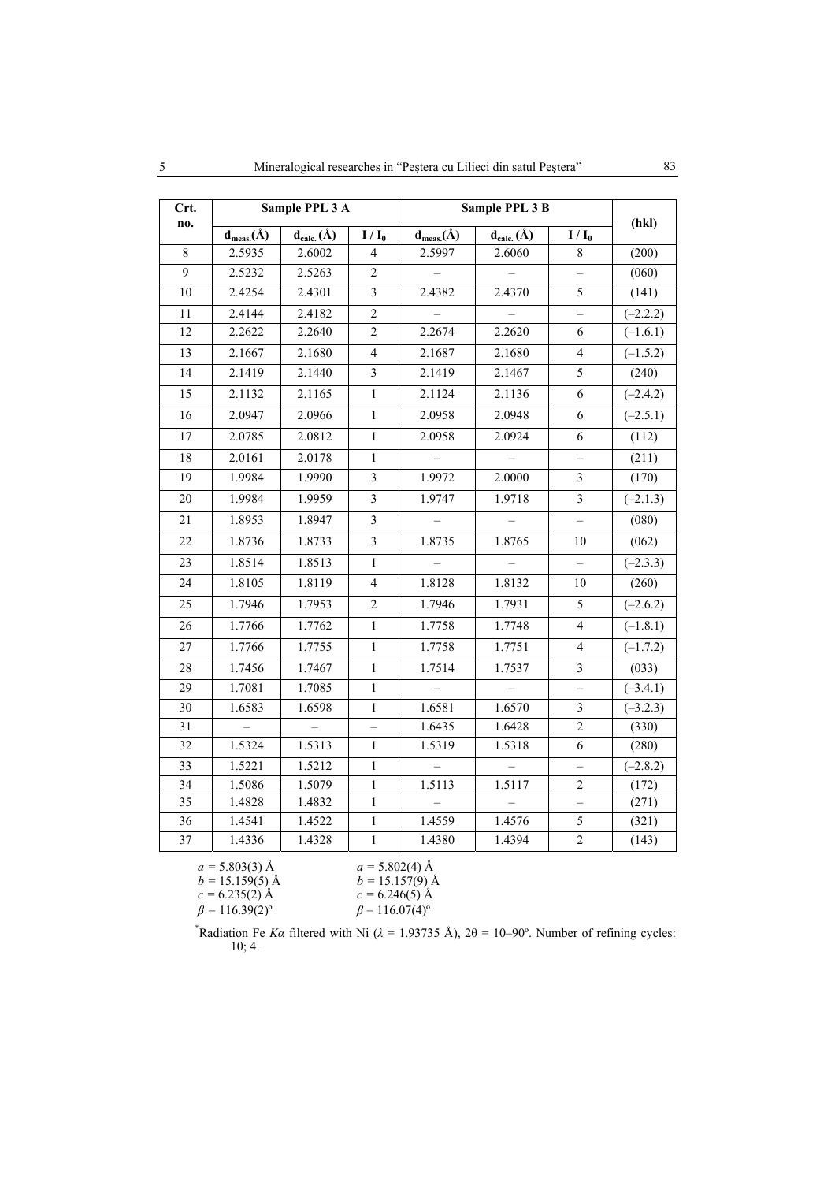| Crt. |                  | Sample PPL 3 A   |                | Sample PPL 3 B           |                   |                          |            |
|------|------------------|------------------|----------------|--------------------------|-------------------|--------------------------|------------|
| no.  | $d_{meas.}(\AA)$ | $d_{calc.}(\AA)$ | $I/I_0$        | $d_{meas.}(\AA)$         | $d_{calc.}(\AA)$  | $I/I_0$                  | (hkl)      |
| 8    | 2.5935           | 2.6002           | 4              | 2.5997                   | 2.6060            | 8                        | (200)      |
| 9    | 2.5232           | 2.5263           | $\overline{c}$ |                          |                   |                          | (060)      |
| 10   | 2.4254           | 2.4301           | $\overline{3}$ | 2.4382                   | 2.4370            | 5                        | (141)      |
| 11   | 2.4144           | 2.4182           | $\overline{c}$ |                          |                   |                          | $(-2.2.2)$ |
| 12   | 2.2622           | 2.2640           | $\overline{c}$ | 2.2674                   | 2.2620            | 6                        | $(-1.6.1)$ |
| 13   | 2.1667           | 2.1680           | $\overline{4}$ | 2.1687                   | 2.1680            | $\overline{4}$           | $(-1.5.2)$ |
| 14   | 2.1419           | 2.1440           | 3              | 2.1419                   | 2.1467            | 5                        | (240)      |
| 15   | 2.1132           | 2.1165           | 1              | 2.1124                   | 2.1136            | 6                        | $(-2.4.2)$ |
| 16   | 2.0947           | 2.0966           | $\mathbf{1}$   | 2.0958                   | 2.0948            | 6                        | $(-2.5.1)$ |
| 17   | 2.0785           | 2.0812           | $\mathbf{1}$   | 2.0958                   | 2.0924            | 6                        | (112)      |
| 18   | 2.0161           | 2.0178           | 1              |                          |                   | $\overline{\phantom{0}}$ | (211)      |
| 19   | 1.9984           | 1.9990           | 3              | 1.9972                   | 2.0000            | $\mathfrak{Z}$           | (170)      |
| 20   | 1.9984           | 1.9959           | 3              | 1.9747                   | 1.9718            | $\mathfrak{Z}$           | $(-2.1.3)$ |
| 21   | 1.8953           | 1.8947           | 3              |                          |                   |                          | (080)      |
| 22   | 1.8736           | 1.8733           | $\overline{3}$ | 1.8735                   | 1.8765            | 10                       | (062)      |
| 23   | 1.8514           | 1.8513           | $\mathbf{1}$   | $\overline{\phantom{0}}$ | $\qquad \qquad -$ | $\qquad \qquad -$        | $(-2.3.3)$ |
| 24   | 1.8105           | 1.8119           | $\overline{4}$ | 1.8128                   | 1.8132            | 10                       | (260)      |
| 25   | 1.7946           | 1.7953           | $\overline{c}$ | 1.7946                   | 1.7931            | 5                        | $(-2.6.2)$ |
| 26   | 1.7766           | 1.7762           | 1              | 1.7758                   | 1.7748            | 4                        | $(-1.8.1)$ |
| 27   | 1.7766           | 1.7755           | $\mathbf{1}$   | 1.7758                   | 1.7751            | $\overline{4}$           | $(-1.7.2)$ |
| 28   | 1.7456           | 1.7467           | $\mathbf{1}$   | 1.7514                   | 1.7537            | $\mathfrak{Z}$           | (033)      |
| 29   | 1.7081           | 1.7085           | $\mathbf{1}$   |                          |                   | $\overline{\phantom{0}}$ | $(-3.4.1)$ |
| 30   | 1.6583           | 1.6598           | $\mathbf{1}$   | 1.6581                   | 1.6570            | $\mathfrak{Z}$           | $(-3.2.3)$ |
| 31   |                  |                  |                | 1.6435                   | 1.6428            | $\overline{2}$           | (330)      |
| 32   | 1.5324           | 1.5313           | $\mathbf{1}$   | 1.5319                   | 1.5318            | 6                        | (280)      |
| 33   | 1.5221           | 1.5212           | 1              |                          |                   | $\overline{\phantom{0}}$ | $(-2.8.2)$ |
| 34   | 1.5086           | 1.5079           | 1              | 1.5113                   | 1.5117            | $\sqrt{2}$               | (172)      |
| 35   | 1.4828           | 1.4832           | $\mathbf{1}$   |                          |                   |                          | (271)      |
| 36   | 1.4541           | 1.4522           | $\mathbf{1}$   | 1.4559                   | 1.4576            | 5                        | (321)      |
| 37   | 1.4336           | 1.4328           | $\mathbf{1}$   | 1.4380                   | 1.4394            | $\overline{2}$           | (143)      |

| $a = 5.803(3)$ Å            | $a = 5.802(4)$ Å                 |
|-----------------------------|----------------------------------|
| $b = 15.159(5)$ Å           | $b = 15.157(9)$ Å                |
| $c = 6.235(2)$ Å            | $c = 6.246(5)$ Å                 |
| $\beta = 116.39(2)^{\circ}$ | $\beta$ = 116.07(4) <sup>o</sup> |

\*Radiation Fe *Ka* filtered with Ni ( $\lambda$  = 1.93735 Å), 2 $\theta$  = 10–90°. Number of refining cycles: 10; 4.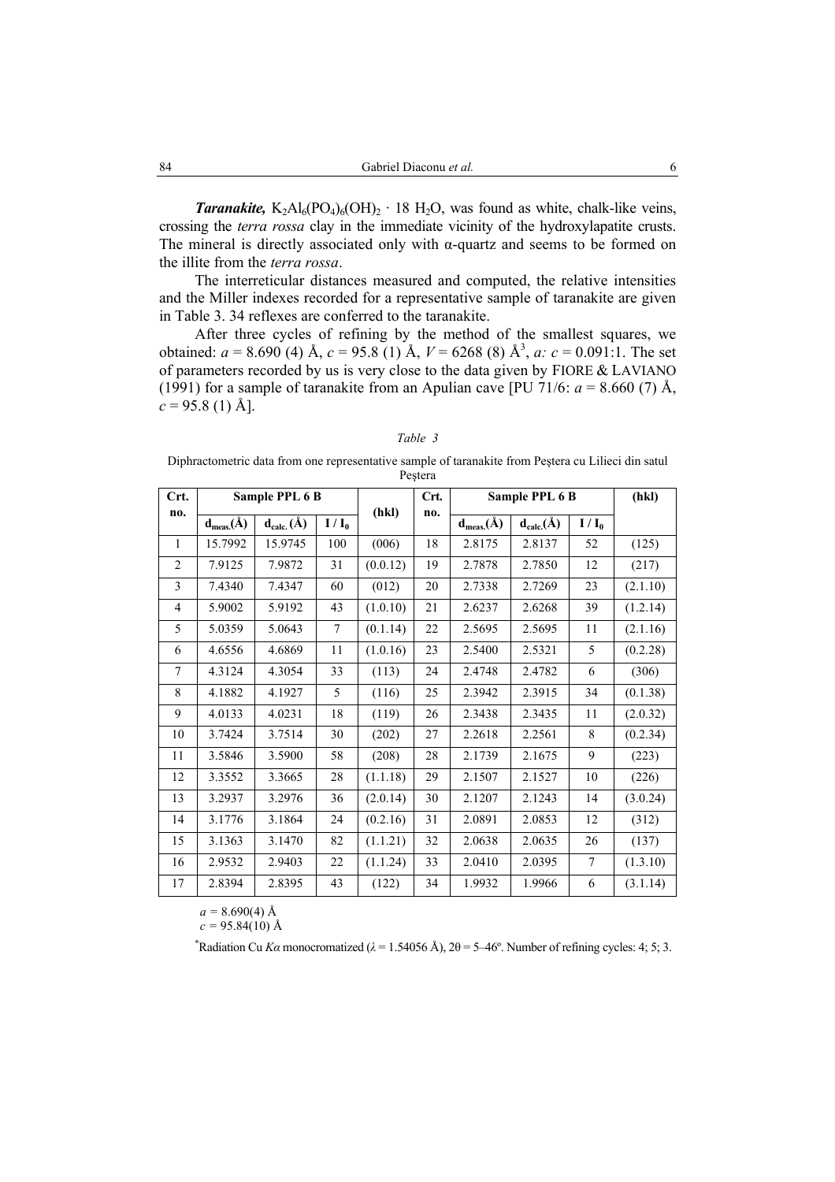*Taranakite,*  $K_2Al_6(PO_4)_6(OH)_2 \cdot 18 H_2O$ , was found as white, chalk-like veins, crossing the *terra rossa* clay in the immediate vicinity of the hydroxylapatite crusts. The mineral is directly associated only with  $\alpha$ -quartz and seems to be formed on the illite from the *terra rossa*.

The interreticular distances measured and computed, the relative intensities and the Miller indexes recorded for a representative sample of taranakite are given in Table 3. 34 reflexes are conferred to the taranakite.

After three cycles of refining by the method of the smallest squares, we obtained:  $a = 8.690$  (4) Å,  $c = 95.8$  (1) Å,  $V = 6268$  (8) Å<sup>3</sup>,  $a: c = 0.091$ :1. The set of parameters recorded by us is very close to the data given by FIORE & LAVIANO (1991) for a sample of taranakite from an Apulian cave [PU 71/6:  $a = 8.660$  (7) Å,  $c = 95.8$  (1) Å].

*Table 3*  Diphractometric data from one representative sample of taranakite from Peştera cu Lilieci din satul Peştera

| Crt.           | Sample PPL 6 B                               |                  |                | Crt.     | Sample PPL 6 B |                  |                  | (hkl)          |          |
|----------------|----------------------------------------------|------------------|----------------|----------|----------------|------------------|------------------|----------------|----------|
| no.            | $\mathbf{d}_{\text{meas}}(\hat{\mathbf{A}})$ | $d_{calc.}(\AA)$ | $I/I_0$        | (hkl)    | no.            | $d_{meas.}(\AA)$ | $d_{calc.}(\AA)$ | $I/I_0$        |          |
| $\mathbf{1}$   | 15.7992                                      | 15.9745          | 100            | (006)    | 18             | 2.8175           | 2.8137           | 52             | (125)    |
| $\overline{2}$ | 7.9125                                       | 7.9872           | 31             | (0.0.12) | 19             | 2.7878           | 2.7850           | 12             | (217)    |
| 3              | 7.4340                                       | 7.4347           | 60             | (012)    | 20             | 2.7338           | 2.7269           | 23             | (2.1.10) |
| 4              | 5.9002                                       | 5.9192           | 43             | (1.0.10) | 21             | 2.6237           | 2.6268           | 39             | (1.2.14) |
| 5              | 5.0359                                       | 5.0643           | $\overline{7}$ | (0.1.14) | 22             | 2.5695           | 2.5695           | 11             | (2.1.16) |
| 6              | 4.6556                                       | 4.6869           | 11             | (1.0.16) | 23             | 2.5400           | 2.5321           | 5              | (0.2.28) |
| 7              | 4.3124                                       | 4.3054           | 33             | (113)    | 24             | 2.4748           | 2.4782           | 6              | (306)    |
| 8              | 4.1882                                       | 4.1927           | 5              | (116)    | 25             | 2.3942           | 2.3915           | 34             | (0.1.38) |
| 9              | 4.0133                                       | 4.0231           | 18             | (119)    | 26             | 2.3438           | 2.3435           | 11             | (2.0.32) |
| 10             | 3.7424                                       | 3.7514           | 30             | (202)    | 27             | 2.2618           | 2.2561           | 8              | (0.2.34) |
| 11             | 3.5846                                       | 3.5900           | 58             | (208)    | 28             | 2.1739           | 2.1675           | 9              | (223)    |
| 12             | 3.3552                                       | 3.3665           | 28             | (1.1.18) | 29             | 2.1507           | 2.1527           | 10             | (226)    |
| 13             | 3.2937                                       | 3.2976           | 36             | (2.0.14) | 30             | 2.1207           | 2.1243           | 14             | (3.0.24) |
| 14             | 3.1776                                       | 3.1864           | 24             | (0.2.16) | 31             | 2.0891           | 2.0853           | 12             | (312)    |
| 15             | 3.1363                                       | 3.1470           | 82             | (1.1.21) | 32             | 2.0638           | 2.0635           | 26             | (137)    |
| 16             | 2.9532                                       | 2.9403           | 22             | (1.1.24) | 33             | 2.0410           | 2.0395           | $\overline{7}$ | (1.3.10) |
| 17             | 2.8394                                       | 2.8395           | 43             | (122)    | 34             | 1.9932           | 1.9966           | 6              | (3.1.14) |

 $a = 8.690(4)$  Å

 $c = 95.84(10)$  Å

\*Radiation Cu *Ka* monocromatized ( $\lambda = 1.54056$  Å),  $2\theta = 5-46^\circ$ . Number of refining cycles: 4; 5; 3.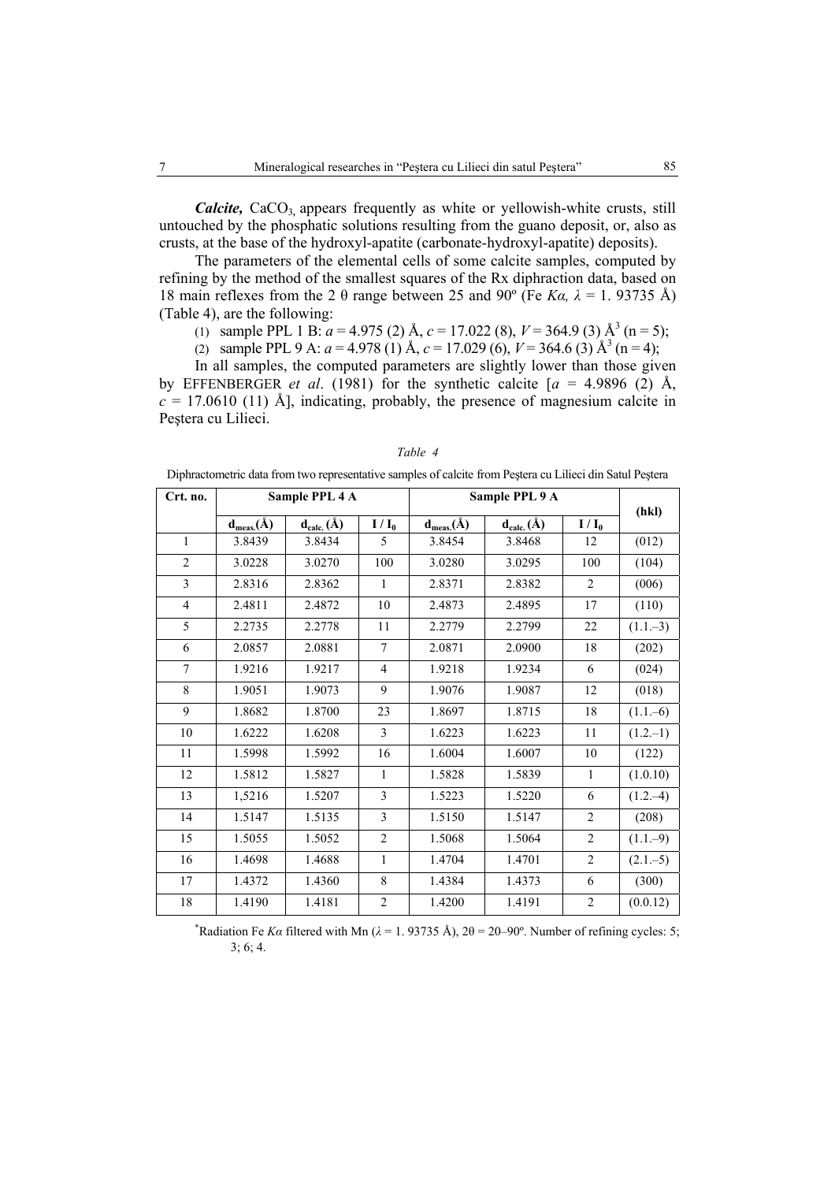*Calcite*, CaCO<sub>3</sub>, appears frequently as white or yellowish-white crusts, still untouched by the phosphatic solutions resulting from the guano deposit, or, also as crusts, at the base of the hydroxyl-apatite (carbonate-hydroxyl-apatite) deposits).

The parameters of the elemental cells of some calcite samples, computed by refining by the method of the smallest squares of the Rx diphraction data, based on 18 main reflexes from the 2  $\theta$  range between 25 and 90° (Fe *Ka, λ* = 1. 93735 Å) (Table 4), are the following:

(1) sample PPL 1 B:  $a = 4.975$  (2) Å,  $c = 17.022$  (8),  $V = 364.9$  (3) Å<sup>3</sup> (n = 5);

(2) sample PPL 9 A:  $a = 4.978$  (1) Å,  $c = 17.029$  (6),  $V = 364.6$  (3) Å<sup>3</sup> (n = 4);

In all samples, the computed parameters are slightly lower than those given by EFFENBERGER *et al.* (1981) for the synthetic calcite  $[a = 4.9896 (2)$  Å,  $c = 17.0610$  (11) Å], indicating, probably, the presence of magnesium calcite in Peştera cu Lilieci.

| Crt. no.       | Sample PPL 4 A   |                  |                | Sample PPL 9 A   |                  |                |             |
|----------------|------------------|------------------|----------------|------------------|------------------|----------------|-------------|
|                | $d_{meas.}(\AA)$ | $d_{calc.}(\AA)$ | $I / I_0$      | $d_{meas.}(\AA)$ | $d_{calc.}(\AA)$ | $I/I_0$        | (hkl)       |
| $\mathbf{1}$   | 3.8439           | 3.8434           | 5              | 3.8454           | 3.8468           | 12             | (012)       |
| $\overline{c}$ | 3.0228           | 3.0270           | 100            | 3.0280           | 3.0295           | 100            | (104)       |
| $\mathfrak{Z}$ | 2.8316           | 2.8362           | 1              | 2.8371           | 2.8382           | $\overline{2}$ | (006)       |
| $\overline{4}$ | 2.4811           | 2.4872           | 10             | 2.4873           | 2.4895           | 17             | (110)       |
| 5              | 2.2735           | 2.2778           | 11             | 2.2779           | 2.2799           | $22\,$         | $(1.1-3)$   |
| 6              | 2.0857           | 2.0881           | 7              | 2.0871           | 2.0900           | 18             | (202)       |
| $\overline{7}$ | 1.9216           | 1.9217           | $\overline{4}$ | 1.9218           | 1.9234           | 6              | (024)       |
| 8              | 1.9051           | 1.9073           | 9              | 1.9076           | 1.9087           | 12             | (018)       |
| 9              | 1.8682           | 1.8700           | 23             | 1.8697           | 1.8715           | 18             | $(1.1-6)$   |
| $10\,$         | 1.6222           | 1.6208           | 3              | 1.6223           | 1.6223           | 11             | $(1.2,-1)$  |
| 11             | 1.5998           | 1.5992           | 16             | 1.6004           | 1.6007           | 10             | (122)       |
| 12             | 1.5812           | 1.5827           | 1              | 1.5828           | 1.5839           | $\mathbf{1}$   | (1.0.10)    |
| 13             | 1,5216           | 1.5207           | $\overline{3}$ | 1.5223           | 1.5220           | 6              | $(1.2,-4)$  |
| 14             | 1.5147           | 1.5135           | 3              | 1.5150           | 1.5147           | $\overline{2}$ | (208)       |
| 15             | 1.5055           | 1.5052           | $\overline{c}$ | 1.5068           | 1.5064           | $\overline{c}$ | $(1.1-9)$   |
| 16             | 1.4698           | 1.4688           | $\mathbf{1}$   | 1.4704           | 1.4701           | $\overline{2}$ | $(2.1 - 5)$ |
| 17             | 1.4372           | 1.4360           | 8              | 1.4384           | 1.4373           | 6              | (300)       |
| $1\,8$         | 1.4190           | 1.4181           | $\overline{2}$ | 1.4200           | 1.4191           | $\overline{2}$ | (0.0.12)    |

*Table 4* 

Diphractometric data from two representative samples of calcite from Peştera cu Lilieci din Satul Peştera

\*Radiation Fe *Ka* filtered with Mn ( $\lambda$  = 1. 93735 Å), 2 $\theta$  = 20–90°. Number of refining cycles: 5; 3; 6; 4.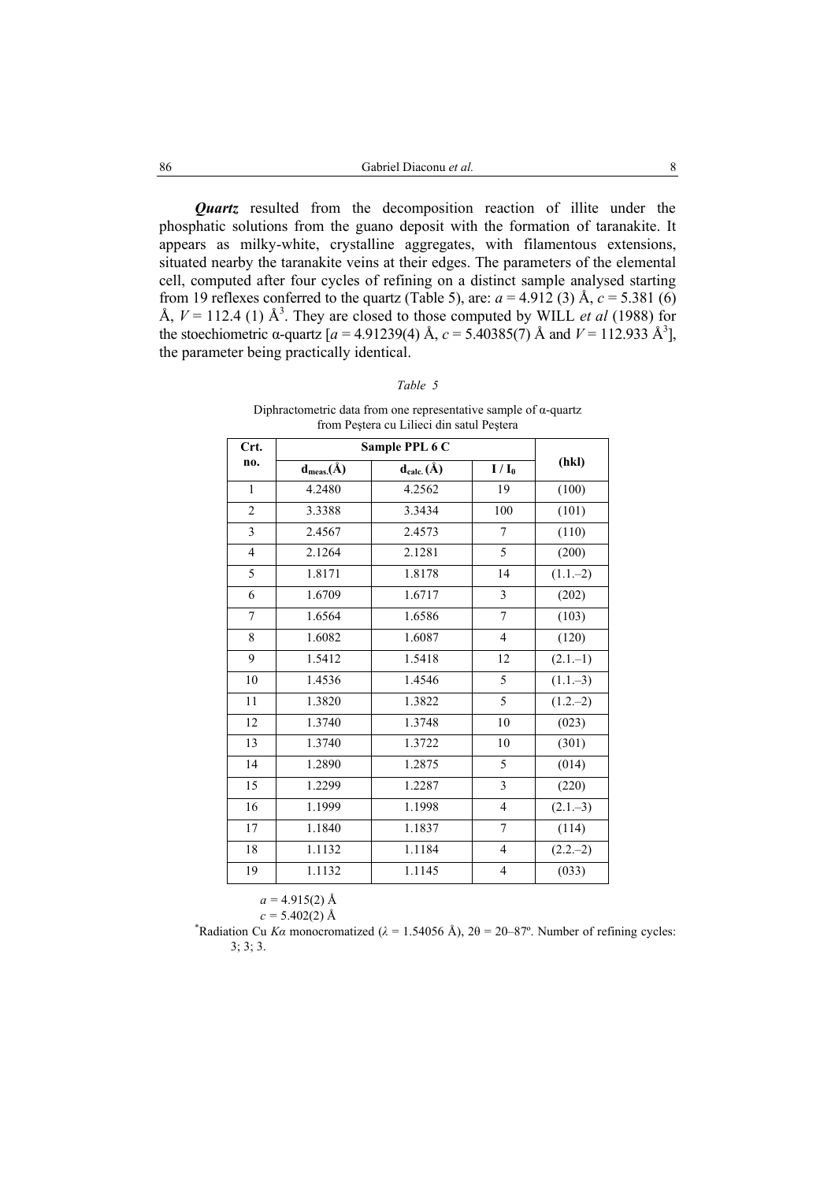*Quartz* resulted from the decomposition reaction of illite under the phosphatic solutions from the guano deposit with the formation of taranakite. It appears as milky-white, crystalline aggregates, with filamentous extensions, situated nearby the taranakite veins at their edges. The parameters of the elemental cell, computed after four cycles of refining on a distinct sample analysed starting from 19 reflexes conferred to the quartz (Table 5), are:  $a = 4.912$  (3) Å,  $c = 5.381$  (6) Å,  $V = 112.4$  (1) Å<sup>3</sup>. They are closed to those computed by WILL *et al* (1988) for the stoechiometric α-quartz  $[a = 4.91239(4)$  Å,  $c = 5.40385(7)$  Å and  $V = 112.933$  Å<sup>3</sup>], the parameter being practically identical.

| Crt.                    |                  |                  |                  |             |
|-------------------------|------------------|------------------|------------------|-------------|
|                         |                  | Sample PPL 6 C   |                  |             |
| no.                     | $d_{meas.}(\AA)$ | $d_{calc.}(\AA)$ | $I/I_0$          | (hkl)       |
| $\mathbf{1}$            | 4.2480           | 4.2562           | 19               | (100)       |
| $\sqrt{2}$              | 3.3388           | 3.3434           | 100              | (101)       |
| $\overline{\mathbf{3}}$ | 2.4567           | 2.4573           | $\tau$           | (110)       |
| $\overline{4}$          | 2.1264           | 2.1281           | 5                | (200)       |
| 5                       | 1.8171           | 1.8178           | 14               | $(1.1,-2)$  |
| 6                       | 1.6709           | 1.6717           | 3                | (202)       |
| $\sqrt{ }$              | 1.6564           | 1.6586           | $\boldsymbol{7}$ | (103)       |
| 8                       | 1.6082           | 1.6087           | $\overline{4}$   | (120)       |
| 9                       | 1.5412           | 1.5418           | 12               | $(2.1 - 1)$ |
| 10                      | 1.4536           | 1.4546           | 5                | $(1.1-3)$   |
| 11                      | 1.3820           | 1.3822           | 5                | $(1.2,-2)$  |
| 12                      | 1.3740           | 1.3748           | 10               | (023)       |
| 13                      | 1.3740           | 1.3722           | 10               | (301)       |
| 14                      | 1.2890           | 1.2875           | 5                | (014)       |
| 15                      | 1.2299           | 1.2287           | 3                | (220)       |
| 16                      | 1.1999           | 1.1998           | $\overline{4}$   | $(2.1 - 3)$ |
| 17                      | 1.1840           | 1.1837           | $\overline{7}$   | (114)       |
| 18                      | 1.1132           | 1.1184           | 4                | $(2.2,-2)$  |
| 19                      | 1.1132           | 1.1145           | 4                | (033)       |

| ar |  |
|----|--|
|----|--|

Diphractometric data from one representative sample of  $\alpha$ -quartz from Peştera cu Lilieci din satul Peştera

 $a = 4.915(2)$  Å

*c* = 5.402(2) Å<br>
<sup>\*</sup>Radiation Cu *Kα* monocromatized ( $λ$  = 1.54056 Å), 2θ = 20–87°. Number of refining cycles: 3; 3; 3.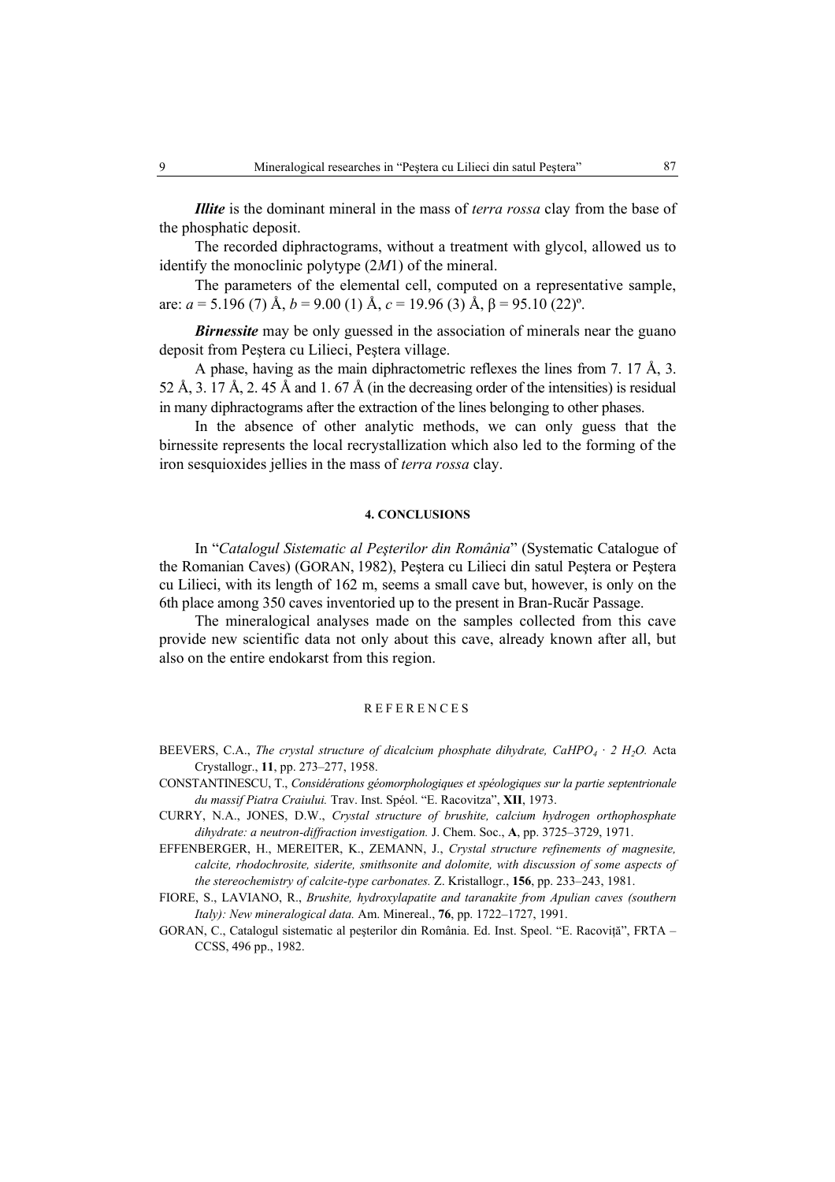*Illite* is the dominant mineral in the mass of *terra rossa* clay from the base of the phosphatic deposit.

The recorded diphractograms, without a treatment with glycol, allowed us to identify the monoclinic polytype (2*M*1) of the mineral.

The parameters of the elemental cell, computed on a representative sample, are: *a* = 5.196 (7) Å, *b* = 9.00 (1) Å, *c* = 19.96 (3) Å, β = 95.10 (22)º.

*Birnessite* may be only guessed in the association of minerals near the guano deposit from Peştera cu Lilieci, Peştera village.

A phase, having as the main diphractometric reflexes the lines from 7. 17 Å, 3. 52 Å, 3. 17 Å, 2. 45 Å and 1. 67 Å (in the decreasing order of the intensities) is residual in many diphractograms after the extraction of the lines belonging to other phases.

In the absence of other analytic methods, we can only guess that the birnessite represents the local recrystallization which also led to the forming of the iron sesquioxides jellies in the mass of *terra rossa* clay.

#### **4. CONCLUSIONS**

In "*Catalogul Sistematic al Peşterilor din România*" (Systematic Catalogue of the Romanian Caves) (GORAN, 1982), Peştera cu Lilieci din satul Peştera or Peştera cu Lilieci, with its length of 162 m, seems a small cave but, however, is only on the 6th place among 350 caves inventoried up to the present in Bran-Rucăr Passage.

The mineralogical analyses made on the samples collected from this cave provide new scientific data not only about this cave, already known after all, but also on the entire endokarst from this region.

#### REFERENCES

- BEEVERS, C.A., *The crystal structure of dicalcium phosphate dihydrate, CaHPO<sub>4</sub> · 2 H<sub>2</sub>O. Acta* Crystallogr., **11**, pp. 273–277, 1958.
- CONSTANTINESCU, T., *Considérations géomorphologiques et spéologiques sur la partie septentrionale du massif Piatra Craiului.* Trav. Inst. Spéol. "E. Racovitza", **XII**, 1973.
- CURRY, N.A., JONES, D.W., *Crystal structure of brushite, calcium hydrogen orthophosphate dihydrate: a neutron-diffraction investigation.* J. Chem. Soc., **A**, pp. 3725–3729, 1971.
- EFFENBERGER, H., MEREITER, K., ZEMANN, J., *Crystal structure refinements of magnesite, calcite, rhodochrosite, siderite, smithsonite and dolomite, with discussion of some aspects of the stereochemistry of calcite-type carbonates.* Z. Kristallogr., **156**, pp. 233–243, 1981.
- FIORE, S., LAVIANO, R., *Brushite, hydroxylapatite and taranakite from Apulian caves (southern Italy): New mineralogical data.* Am. Minereal., **76**, pp. 1722–1727, 1991.

GORAN, C., Catalogul sistematic al pesterilor din România. Ed. Inst. Speol. "E. Racovită", FRTA – CCSS, 496 pp., 1982.